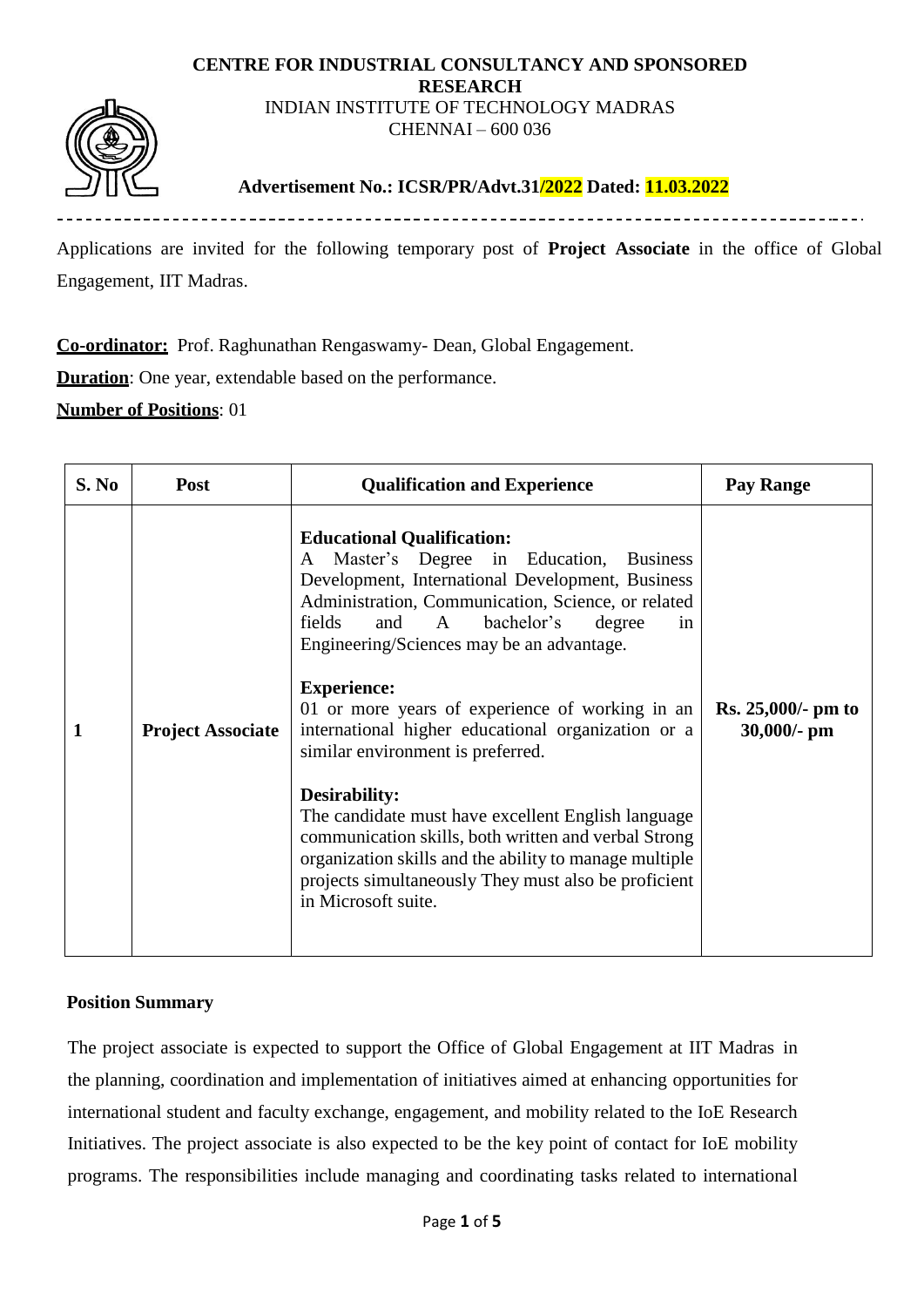#### **CENTRE FOR INDUSTRIAL CONSULTANCY AND SPONSORED RESEARCH** INDIAN INSTITUTE OF TECHNOLOGY MADRAS CHENNAI – 600 036



## **Advertisement No.: ICSR/PR/Advt.31/2022 Dated: 11.03.2022**

Applications are invited for the following temporary post of **Project Associate** in the office of Global Engagement, IIT Madras.

**Co-ordinator:** Prof. Raghunathan Rengaswamy- Dean, Global Engagement.

**Duration**: One year, extendable based on the performance.

**Number of Positions**: 01

| S. No | <b>Post</b>              | <b>Qualification and Experience</b>                                                                                                                                                                                                                                                                                                                                                                                                                                                                                                                                                                                                                                                  | Pay Range                           |
|-------|--------------------------|--------------------------------------------------------------------------------------------------------------------------------------------------------------------------------------------------------------------------------------------------------------------------------------------------------------------------------------------------------------------------------------------------------------------------------------------------------------------------------------------------------------------------------------------------------------------------------------------------------------------------------------------------------------------------------------|-------------------------------------|
| 1     | <b>Project Associate</b> | <b>Educational Qualification:</b><br>Master's Degree in Education,<br><b>Business</b><br>A<br>Development, International Development, Business<br>Administration, Communication, Science, or related<br>fields<br>bachelor's<br>and<br>$\mathbf{A}$<br>degree<br>in<br>Engineering/Sciences may be an advantage.<br><b>Experience:</b><br>01 or more years of experience of working in an<br>international higher educational organization or a<br>similar environment is preferred.<br><b>Desirability:</b><br>The candidate must have excellent English language<br>communication skills, both written and verbal Strong<br>organization skills and the ability to manage multiple | $Rs. 25,000/- pm to$<br>30,000/- pm |
|       |                          | projects simultaneously They must also be proficient<br>in Microsoft suite.                                                                                                                                                                                                                                                                                                                                                                                                                                                                                                                                                                                                          |                                     |

### **Position Summary**

The project associate is expected to support the Office of Global Engagement at IIT Madras in the planning, coordination and implementation of initiatives aimed at enhancing opportunities for international student and faculty exchange, engagement, and mobility related to the IoE Research Initiatives. The project associate is also expected to be the key point of contact for IoE mobility programs. The responsibilities include managing and coordinating tasks related to international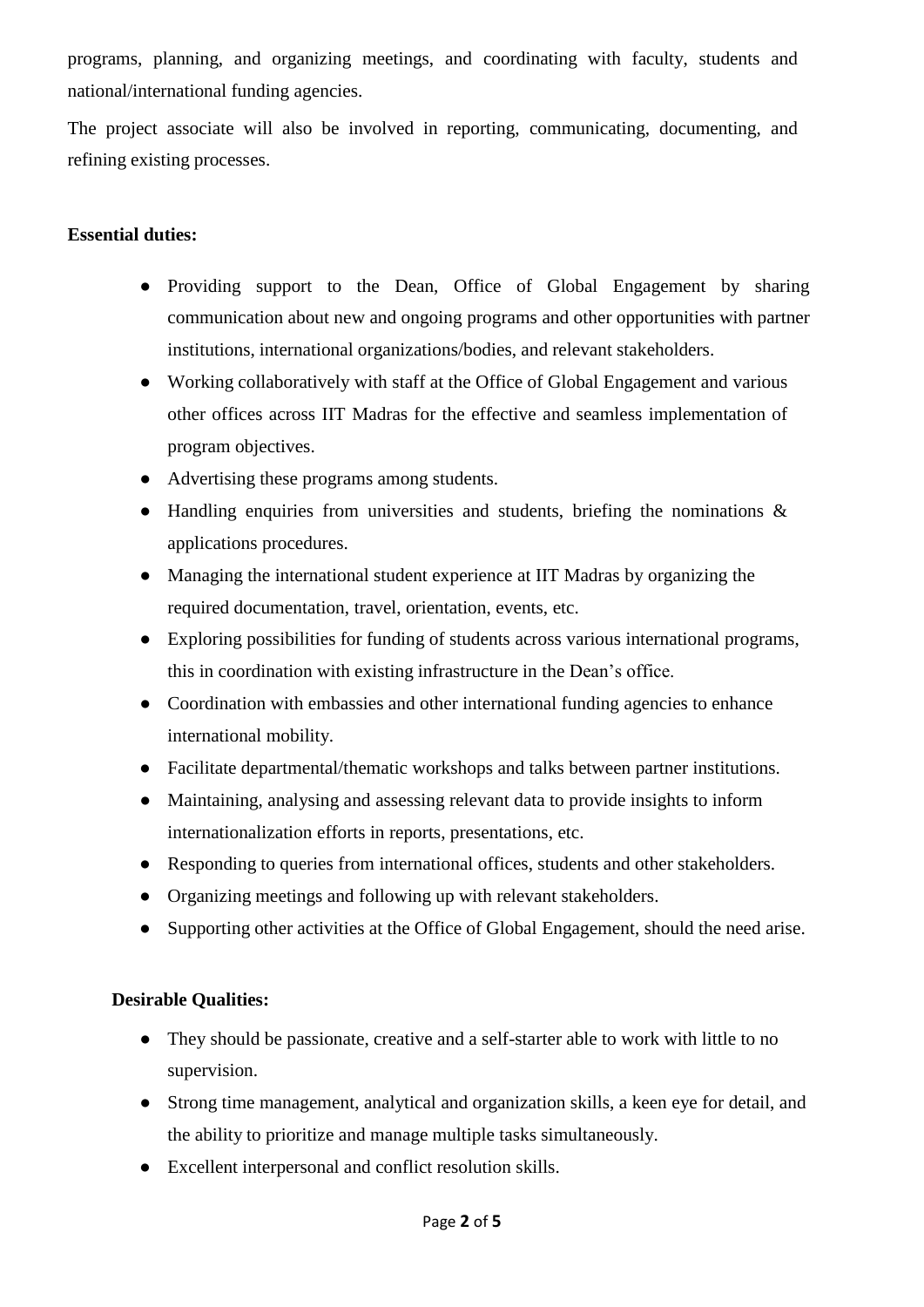programs, planning, and organizing meetings, and coordinating with faculty, students and national/international funding agencies.

The project associate will also be involved in reporting, communicating, documenting, and refining existing processes.

### **Essential duties:**

- Providing support to the Dean, Office of Global Engagement by sharing communication about new and ongoing programs and other opportunities with partner institutions, international organizations/bodies, and relevant stakeholders.
- Working collaboratively with staff at the Office of Global Engagement and various other offices across IIT Madras for the effective and seamless implementation of program objectives.
- Advertising these programs among students.
- Handling enquiries from universities and students, briefing the nominations & applications procedures.
- Managing the international student experience at IIT Madras by organizing the required documentation, travel, orientation, events, etc.
- Exploring possibilities for funding of students across various international programs, this in coordination with existing infrastructure in the Dean's office.
- Coordination with embassies and other international funding agencies to enhance international mobility.
- Facilitate departmental/thematic workshops and talks between partner institutions.
- Maintaining, analysing and assessing relevant data to provide insights to inform internationalization efforts in reports, presentations, etc.
- Responding to queries from international offices, students and other stakeholders.
- Organizing meetings and following up with relevant stakeholders.
- Supporting other activities at the Office of Global Engagement, should the need arise.

### **Desirable Qualities:**

- They should be passionate, creative and a self-starter able to work with little to no supervision.
- Strong time management, analytical and organization skills, a keen eye for detail, and the ability to prioritize and manage multiple tasks simultaneously.
- Excellent interpersonal and conflict resolution skills.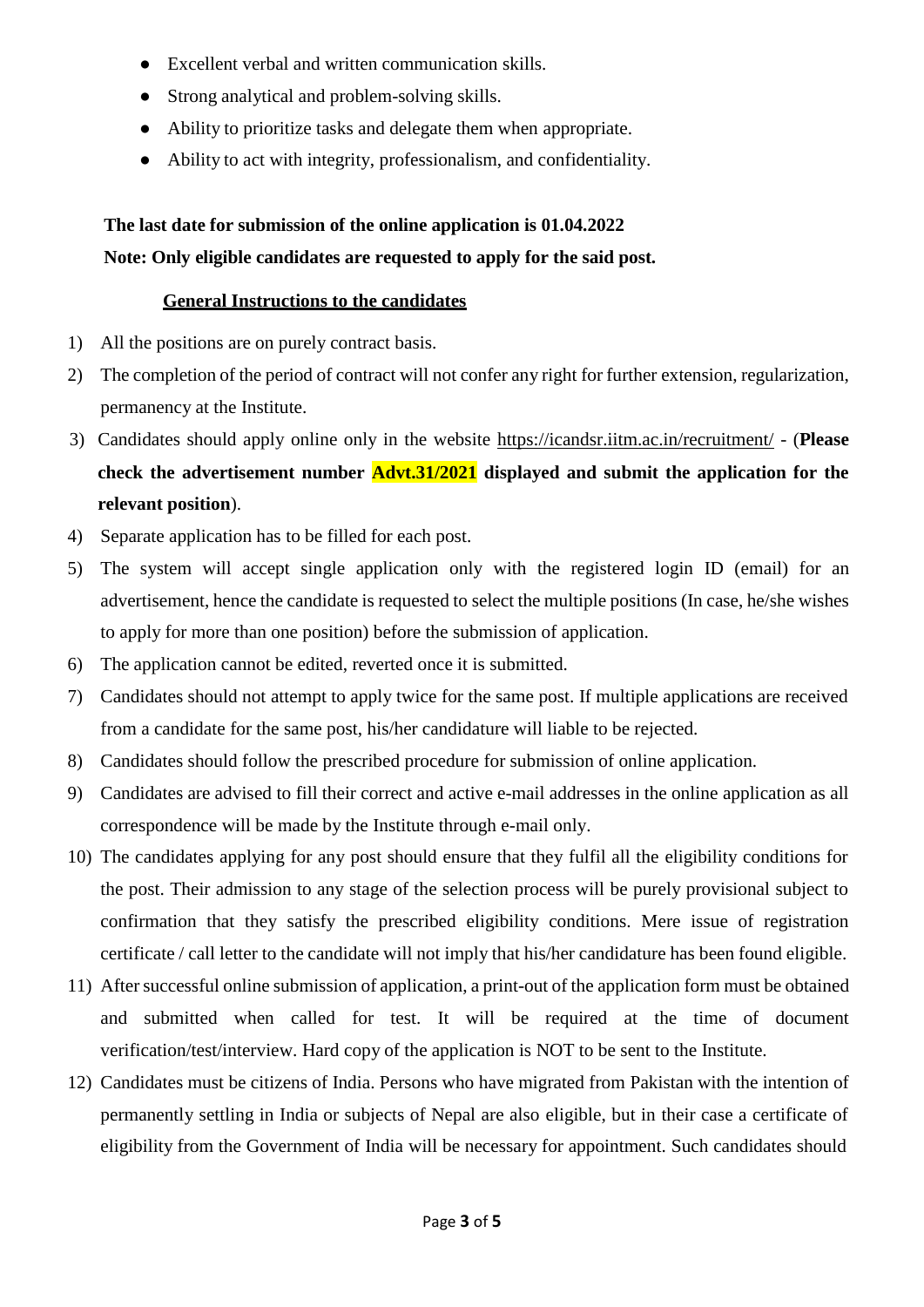- Excellent verbal and written communication skills.
- Strong analytical and problem-solving skills.
- Ability to prioritize tasks and delegate them when appropriate.
- Ability to act with integrity, professionalism, and confidentiality.

# **The last date for submission of the online application is 01.04.2022 Note: Only eligible candidates are requested to apply for the said post.**

#### **General Instructions to the candidates**

- 1) All the positions are on purely contract basis.
- 2) The completion of the period of contract will not confer any right for further extension, regularization, permanency at the Institute.
- 3) Candidates should apply online only in the website<https://icandsr.iitm.ac.in/recruitment/> (**Please check the advertisement number Advt.31/2021 displayed and submit the application for the relevant position**).
- 4) Separate application has to be filled for each post.
- 5) The system will accept single application only with the registered login ID (email) for an advertisement, hence the candidate is requested to select the multiple positions (In case, he/she wishes to apply for more than one position) before the submission of application.
- 6) The application cannot be edited, reverted once it is submitted.
- 7) Candidates should not attempt to apply twice for the same post. If multiple applications are received from a candidate for the same post, his/her candidature will liable to be rejected.
- 8) Candidates should follow the prescribed procedure for submission of online application.
- 9) Candidates are advised to fill their correct and active e-mail addresses in the online application as all correspondence will be made by the Institute through e-mail only.
- 10) The candidates applying for any post should ensure that they fulfil all the eligibility conditions for the post. Their admission to any stage of the selection process will be purely provisional subject to confirmation that they satisfy the prescribed eligibility conditions. Mere issue of registration certificate / call letter to the candidate will not imply that his/her candidature has been found eligible.
- 11) After successful online submission of application, a print-out of the application form must be obtained and submitted when called for test. It will be required at the time of document verification/test/interview. Hard copy of the application is NOT to be sent to the Institute.
- 12) Candidates must be citizens of India. Persons who have migrated from Pakistan with the intention of permanently settling in India or subjects of Nepal are also eligible, but in their case a certificate of eligibility from the Government of India will be necessary for appointment. Such candidates should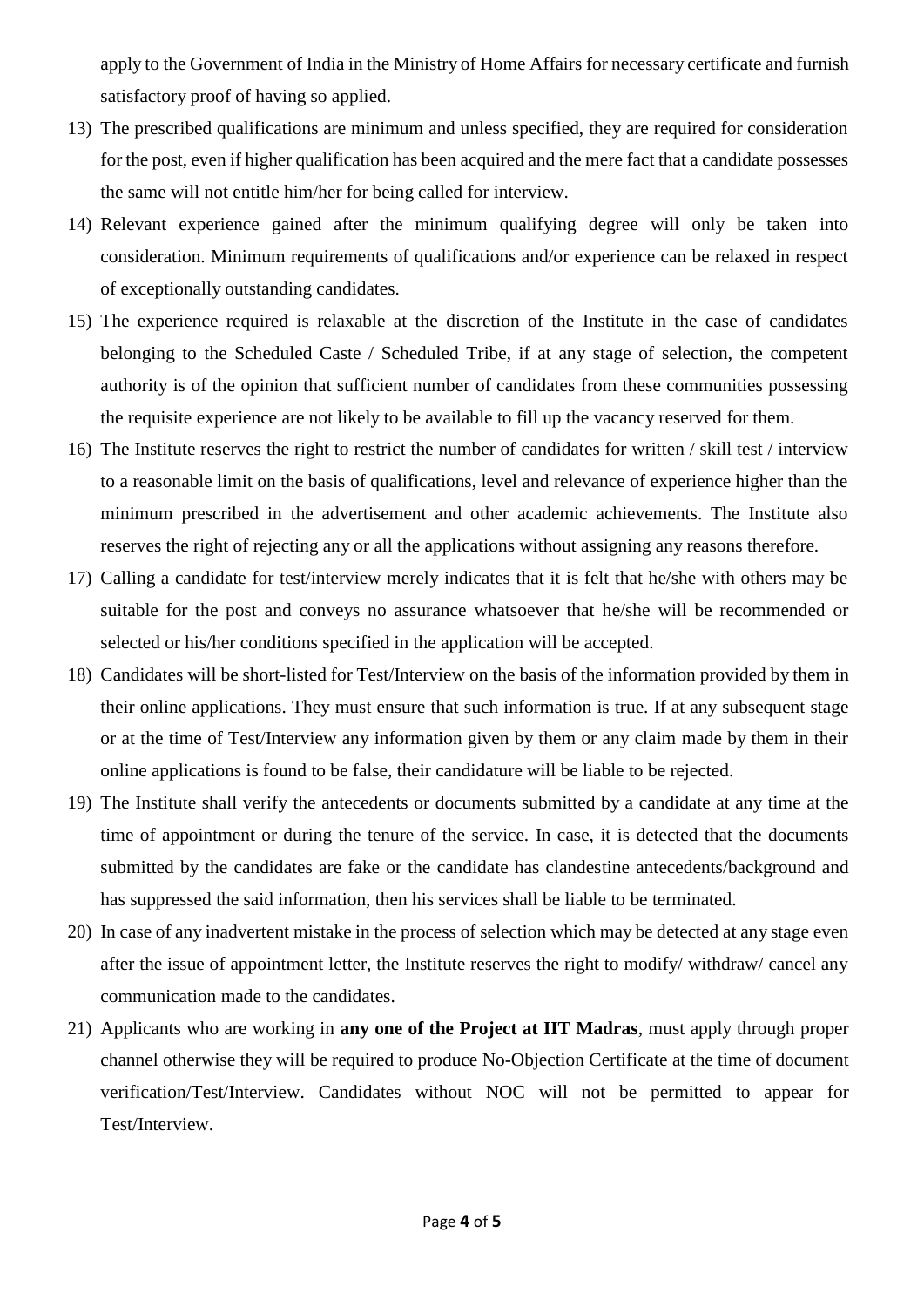apply to the Government of India in the Ministry of Home Affairs for necessary certificate and furnish satisfactory proof of having so applied.

- 13) The prescribed qualifications are minimum and unless specified, they are required for consideration for the post, even if higher qualification has been acquired and the mere fact that a candidate possesses the same will not entitle him/her for being called for interview.
- 14) Relevant experience gained after the minimum qualifying degree will only be taken into consideration. Minimum requirements of qualifications and/or experience can be relaxed in respect of exceptionally outstanding candidates.
- 15) The experience required is relaxable at the discretion of the Institute in the case of candidates belonging to the Scheduled Caste / Scheduled Tribe, if at any stage of selection, the competent authority is of the opinion that sufficient number of candidates from these communities possessing the requisite experience are not likely to be available to fill up the vacancy reserved for them.
- 16) The Institute reserves the right to restrict the number of candidates for written / skill test / interview to a reasonable limit on the basis of qualifications, level and relevance of experience higher than the minimum prescribed in the advertisement and other academic achievements. The Institute also reserves the right of rejecting any or all the applications without assigning any reasons therefore.
- 17) Calling a candidate for test/interview merely indicates that it is felt that he/she with others may be suitable for the post and conveys no assurance whatsoever that he/she will be recommended or selected or his/her conditions specified in the application will be accepted.
- 18) Candidates will be short-listed for Test/Interview on the basis of the information provided by them in their online applications. They must ensure that such information is true. If at any subsequent stage or at the time of Test/Interview any information given by them or any claim made by them in their online applications is found to be false, their candidature will be liable to be rejected.
- 19) The Institute shall verify the antecedents or documents submitted by a candidate at any time at the time of appointment or during the tenure of the service. In case, it is detected that the documents submitted by the candidates are fake or the candidate has clandestine antecedents/background and has suppressed the said information, then his services shall be liable to be terminated.
- 20) In case of any inadvertent mistake in the process of selection which may be detected at any stage even after the issue of appointment letter, the Institute reserves the right to modify/ withdraw/ cancel any communication made to the candidates.
- 21) Applicants who are working in **any one of the Project at IIT Madras**, must apply through proper channel otherwise they will be required to produce No-Objection Certificate at the time of document verification/Test/Interview. Candidates without NOC will not be permitted to appear for Test/Interview.